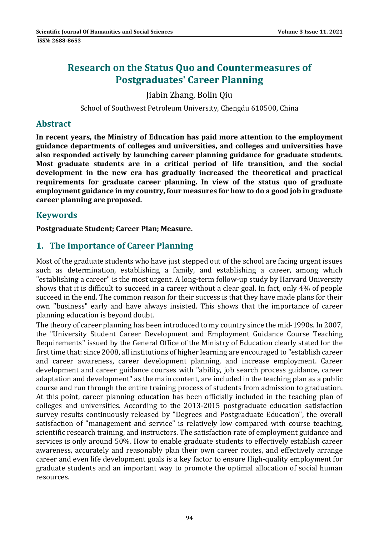# **Research on the Status Quo and Countermeasures of Postgraduates' Career Planning**

# Jiabin Zhang, Bolin Qiu

School of Southwest Petroleum University, Chengdu 610500, China

### **Abstract**

**In recent years, the Ministry of Education has paid more attention to the employment guidance departments of colleges and universities, and colleges and universities have also responded actively by launching career planning guidance for graduate students. Most graduate students are in a critical period of life transition, and the social development in the new era has gradually increased the theoretical and practical requirements for graduate career planning. In view of the status quo of graduate employment guidance in my country, four measures for how to do a good job in graduate career planning are proposed.**

## **Keywords**

**Postgraduate Student; Career Plan; Measure.**

# **1. The Importance of Career Planning**

Most of the graduate students who have just stepped out of the school are facing urgent issues such as determination, establishing a family, and establishing a career, among which "establishing a career" is the most urgent. A long-term follow-up study by Harvard University shows that it is difficult to succeed in a career without a clear goal. In fact, only 4% of people succeed in the end. The common reason for their success is that they have made plans for their own "business" early and have always insisted. This shows that the importance of career planning education is beyond doubt.

The theory of career planning has been introduced to my country since the mid-1990s. In 2007, the "University Student Career Development and Employment Guidance Course Teaching Requirements" issued by the General Office of the Ministry of Education clearly stated for the first time that: since 2008, all institutions of higher learning are encouraged to "establish career and career awareness, career development planning, and increase employment. Career development and career guidance courses with "ability, job search process guidance, career adaptation and development" as the main content, are included in the teaching plan as a public course and run through the entire training process of students from admission to graduation. At this point, career planning education has been officially included in the teaching plan of colleges and universities. According to the 2013-2015 postgraduate education satisfaction survey results continuously released by "Degrees and Postgraduate Education", the overall satisfaction of "management and service" is relatively low compared with course teaching, scientific research training, and instructors. The satisfaction rate of employment guidance and services is only around 50%. How to enable graduate students to effectively establish career awareness, accurately and reasonably plan their own career routes, and effectively arrange career and even life development goals is a key factor to ensure High-quality employment for graduate students and an important way to promote the optimal allocation of social human resources.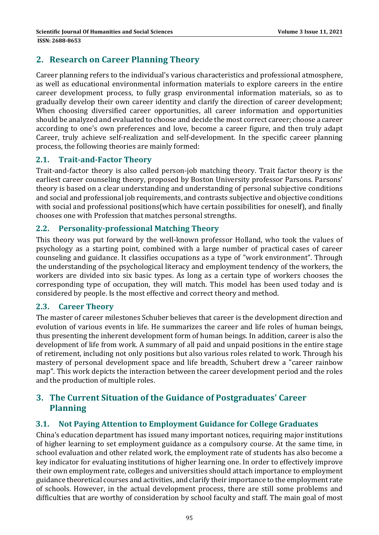# **2. Research on Career Planning Theory**

Career planning refers to the individual's various characteristics and professional atmosphere, as well as educational environmental information materials to explore careers in the entire career development process, to fully grasp environmental information materials, so as to gradually develop their own career identity and clarify the direction of career development; When choosing diversified career opportunities, all career information and opportunities should be analyzed and evaluated to choose and decide the most correct career; choose a career according to one's own preferences and love, become a career figure, and then truly adapt Career, truly achieve self-realization and self-development. In the specific career planning process, the following theories are mainly formed:

### **2.1. Trait‐and‐Factor Theory**

Trait-and-factor theory is also called person-job matching theory. Trait factor theory is the earliest career counseling theory, proposed by Boston University professor Parsons. Parsons' theory is based on a clear understanding and understanding of personal subjective conditions and social and professional job requirements, and contrasts subjective and objective conditions with social and professional positions(which have certain possibilities for oneself), and finally chooses one with Profession that matches personal strengths.

### **2.2. Personality‐professional Matching Theory**

This theory was put forward by the well-known professor Holland, who took the values of psychology as a starting point, combined with a large number of practical cases of career counseling and guidance. It classifies occupations as a type of "work environment". Through the understanding of the psychological literacy and employment tendency of the workers, the workers are divided into six basic types. As long as a certain type of workers chooses the corresponding type of occupation, they will match. This model has been used today and is considered by people. Is the most effective and correct theory and method.

#### **2.3. Career Theory**

The master of career milestones Schuber believes that career is the development direction and evolution of various events in life. He summarizes the career and life roles of human beings, thus presenting the inherent development form of human beings. In addition, career is also the development of life from work. A summary of all paid and unpaid positions in the entire stage of retirement, including not only positions but also various roles related to work. Through his mastery of personal development space and life breadth, Schubert drew a "career rainbow map". This work depicts the interaction between the career development period and the roles and the production of multiple roles.

## **3. The Current Situation of the Guidance of Postgraduates' Career Planning**

#### **3.1. Not Paying Attention to Employment Guidance for College Graduates**

China's education department has issued many important notices, requiring major institutions of higher learning to set employment guidance as a compulsory course. At the same time, in school evaluation and other related work, the employment rate of students has also become a key indicator for evaluating institutions of higher learning one. In order to effectively improve their own employment rate, colleges and universities should attach importance to employment guidance theoretical courses and activities, and clarify their importance to the employment rate of schools. However, in the actual development process, there are still some problems and difficulties that are worthy of consideration by school faculty and staff. The main goal of most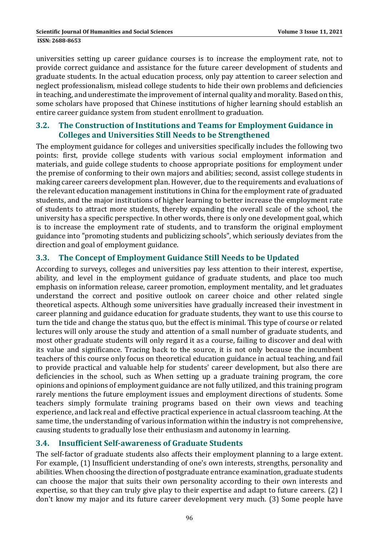universities setting up career guidance courses is to increase the employment rate, not to provide correct guidance and assistance for the future career development of students and graduate students. In the actual education process, only pay attention to career selection and neglect professionalism, mislead college students to hide their own problems and deficiencies in teaching, and underestimate the improvement of internal quality and morality. Based on this, some scholars have proposed that Chinese institutions of higher learning should establish an entire career guidance system from student enrollment to graduation.

#### **3.2. The Construction of Institutions and Teams for Employment Guidance in Colleges and Universities Still Needs to be Strengthened**

The employment guidance for colleges and universities specifically includes the following two points: first, provide college students with various social employment information and materials, and guide college students to choose appropriate positions for employment under the premise of conforming to their own majors and abilities; second, assist college students in making career careers development plan. However, due to the requirements and evaluations of the relevant education management institutions in China for the employment rate of graduated students, and the major institutions of higher learning to better increase the employment rate of students to attract more students, thereby expanding the overall scale of the school, the university has a specific perspective. In other words, there is only one development goal, which is to increase the employment rate of students, and to transform the original employment guidance into "promoting students and publicizing schools", which seriously deviates from the direction and goal of employment guidance.

## **3.3. The Concept of Employment Guidance Still Needs to be Updated**

According to surveys, colleges and universities pay less attention to their interest, expertise, ability, and level in the employment guidance of graduate students, and place too much emphasis on information release, career promotion, employment mentality, and let graduates understand the correct and positive outlook on career choice and other related single theoretical aspects. Although some universities have gradually increased their investment in career planning and guidance education for graduate students, they want to use this course to turn the tide and change the status quo, but the effect is minimal. This type of course or related lectures will only arouse the study and attention of a small number of graduate students, and most other graduate students will only regard it as a course, failing to discover and deal with its value and significance. Tracing back to the source, it is not only because the incumbent teachers of this course only focus on theoretical education guidance in actual teaching, and fail to provide practical and valuable help for students' career development, but also there are deficiencies in the school, such as When setting up a graduate training program, the core opinions and opinions of employment guidance are not fully utilized, and this training program rarely mentions the future employment issues and employment directions of students. Some teachers simply formulate training programs based on their own views and teaching experience, and lack real and effective practical experience in actual classroom teaching. At the same time, the understanding of various information within the industry is not comprehensive, causing students to gradually lose their enthusiasm and autonomy in learning.

## **3.4. Insufficient Self‐awareness of Graduate Students**

The self-factor of graduate students also affects their employment planning to a large extent. For example, (1) Insufficient understanding of one's own interests, strengths, personality and abilities. When choosing the direction of postgraduate entrance examination, graduate students can choose the major that suits their own personality according to their own interests and expertise, so that they can truly give play to their expertise and adapt to future careers. (2) I don't know my major and its future career development very much. (3) Some people have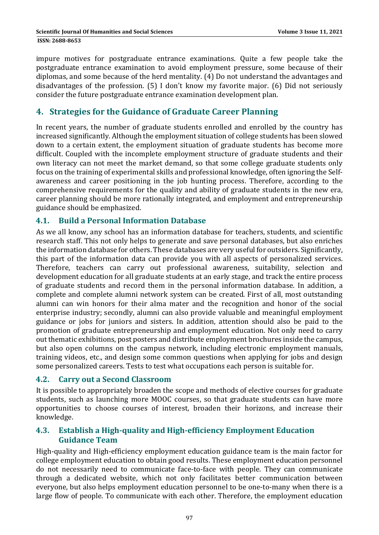impure motives for postgraduate entrance examinations. Quite a few people take the postgraduate entrance examination to avoid employment pressure, some because of their diplomas, and some because of the herd mentality. (4) Do not understand the advantages and disadvantages of the profession.  $(5)$  I don't know my favorite major.  $(6)$  Did not seriously consider the future postgraduate entrance examination development plan.

# **4. Strategies for the Guidance of Graduate Career Planning**

In recent years, the number of graduate students enrolled and enrolled by the country has increased significantly. Although the employment situation of college students has been slowed down to a certain extent, the employment situation of graduate students has become more difficult. Coupled with the incomplete employment structure of graduate students and their own literacy can not meet the market demand, so that some college graduate students only focus on the training of experimental skills and professional knowledge, often ignoring the Selfawareness and career positioning in the job hunting process. Therefore, according to the comprehensive requirements for the quality and ability of graduate students in the new era, career planning should be more rationally integrated, and employment and entrepreneurship guidance should be emphasized.

#### **4.1. Build a Personal Information Database**

As we all know, any school has an information database for teachers, students, and scientific research staff. This not only helps to generate and save personal databases, but also enriches the information database for others. These databases are very useful for outsiders. Significantly, this part of the information data can provide you with all aspects of personalized services. Therefore, teachers can carry out professional awareness, suitability, selection and development education for all graduate students at an early stage, and track the entire process of graduate students and record them in the personal information database. In addition, a complete and complete alumni network system can be created. First of all, most outstanding alumni can win honors for their alma mater and the recognition and honor of the social enterprise industry; secondly, alumni can also provide valuable and meaningful employment guidance or jobs for juniors and sisters. In addition, attention should also be paid to the promotion of graduate entrepreneurship and employment education. Not only need to carry out thematic exhibitions, post posters and distribute employment brochures inside the campus, but also open columns on the campus network, including electronic employment manuals, training videos, etc., and design some common questions when applying for jobs and design some personalized careers. Tests to test what occupations each person is suitable for.

#### **4.2. Carry out a Second Classroom**

It is possible to appropriately broaden the scope and methods of elective courses for graduate students, such as launching more MOOC courses, so that graduate students can have more opportunities to choose courses of interest, broaden their horizons, and increase their knowledge. 

### **4.3. Establish a High‐quality and High‐efficiency Employment Education Guidance Team**

High-quality and High-efficiency employment education guidance team is the main factor for college employment education to obtain good results. These employment education personnel do not necessarily need to communicate face-to-face with people. They can communicate through a dedicated website, which not only facilitates better communication between everyone, but also helps employment education personnel to be one-to-many when there is a large flow of people. To communicate with each other. Therefore, the employment education